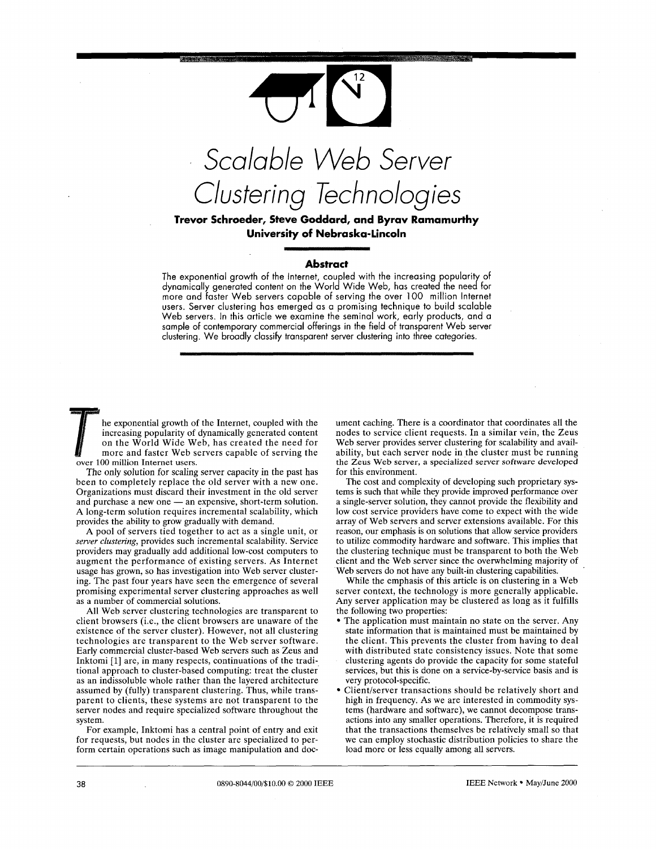

**University of Nebraska-Lincoln** 

# **Abstract**

The exponential growth of the Internet, coupled with the increasing popularity of dynamically generated content on the World Wide Web, has created the need for more and faster Web servers capable of serving the over 100 million Internet users. Server clustering has emerged as a promising technique to build scalable Web servers. In this article we examine the seminal work, early products, and a sample of contemporary commercial offerings in the field of transparent Web server clustering. We broadly classify transparent server clustering into three categories.

he exponential growth of the Internet, coupled with the increasing popularity of dynamically generated content on the World Wide Web, has created the need for more and faster Web servers capable of serving the over 100 million Internet users.

The only solution for scaling server capacity in the past has been to completely replace the old server with a new one.<br>
Organizations must discard their investment in the old server<br>
and purchase a new one — an expensive, short-term solution. Organizations must discard their investment in the old server and purchase a new one — an expensive, short-term solution. **A** long-term solution requires incremental scalability, which provides the ability to grow gradually with demand.

**A** pool of servers tied together to act as a single unit, or *server clustering,* provides such incremental scalability. Service providers may gradually add additional low-cost computers to augment the performance of existing servers. **As** Internet usage has grown, so has investigation into Web server clustering. The past four years have seen the emergence of several promising experimental server clustering approaches as well as a number of commercial solutions.

**All** Web server clustering technologies are transparent to client browsers (i.e., the client browsers are unaware of the existence of the server cluster). However, not all clustering technologies are transparent to the Web server software. Early commercial cluster-based Web servers such as Zeus and Inktomi [l] are, in many respects, continuations of the traditional approach to cluster-based computing: treat the cluster as an indissoluble whole rather than the layered architecture assumed by (fully) transparent clustering. Thus, while transparent to clients, these systems are not transparent to the server nodes and require specialized software throughout the system.

For example, Inktomi has a central point of entry and exit for requests, but nodes in the cluster are specialized to perform certain operations such as image manipulation and document caching. There is a coordinator that coordinates all the nodes to service client requests. In a similar vein, the Zeus Web server provides server clustering for scalability and availability, but each server node in the cluster must be running the Zeus Web server, a specialized server software developed for this environment.

The cost and complexity of developing such proprietary systems is such that while they provide improved performance over a single-server solution, they cannot provide the flexibility and low cost service providers have come to expect with the wide array of Web servers and server extensions available. For this reason, our emphasis is on solutions that allow service providers to utilize commodity hardware and software. This implies that the clustering technique must be transparent to both the Web client and the Web server since the overwhelming majority of Web servers do not have any built-in clustering capabilities.

While the emphasis of this article is on clustering in a Web server context, the technology is more generally applicable. Any server application may be clustered as long as it fulfills the following two properties:

- The application must maintain no state on the server. Any state information that is maintained must be maintained by the client. This prevents the cluster from having to deal with distributed state consistency issues. Note that some
- clustering agents do provide the capacity for some stateful services, but this is done on a service-by-service basis and is very protocol-specific.
- Client/server transactions should be relatively short and high in frequency. As we are interested in commodity systems (hardware and software), we cannot decompose transactions into any smaller operations. Therefore, it is required that the transactions themselves be relatively small so that we can employ stochastic distribution policies to share the load more or less equally among all servers.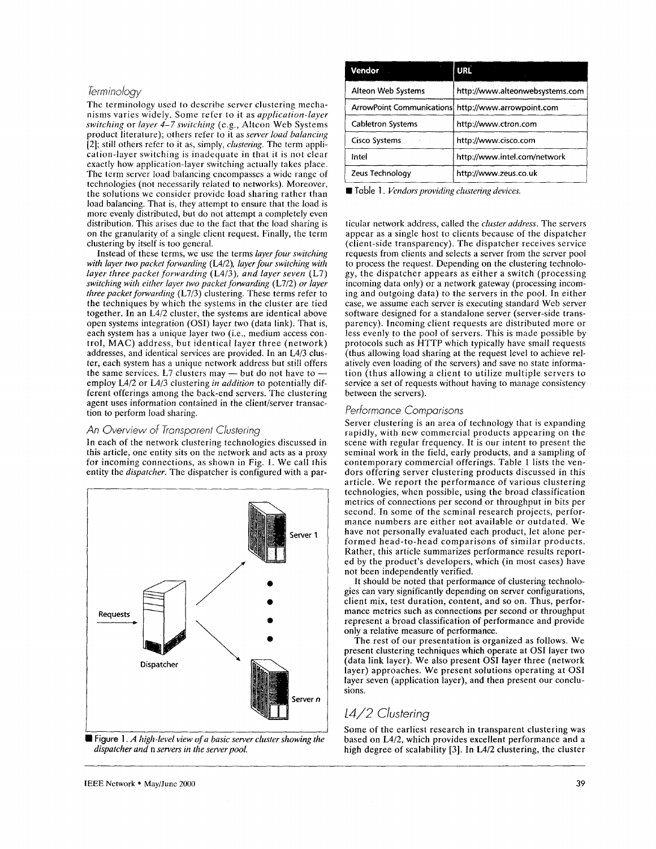# *Terminology*

The terminology used to describe server clustering mechanisms varies widely. Some refcr to it as *application-layer switching or layer 4-7 switching (e.g., Alteon Web Systems* product literature); others refer to it as *server load balancing*  [2]; still others refer to it as, simply, *clustering*. The term application-layer switching is inadequate **in** that it is not clear exactly how application-layer switching actually takcs place. The term server load balancing encompasscs a widc range of technologies (not neccssarily rclatcd to networks). Moreover, the solutions we consider provide load sharing rather than load balancing. That is, they attempt to ensure that the load is more evenly distributed, but do not attempt a completely even distribution. This arises duc to the fact that the load sharing is on the granularity of a single client request. Finally, the term clustering by itself is too general.

Instead of these terms, we use the terms *layer four switching with layer two packet forwarding* (L4/2), *layer four switching with layer three packet forwarding* (L4/3), *and layer seven* (L7) *switching with either layer two packet forwarding* (L7/2) *or layer three packet forwarding* (L7/3) clustering. These terms refer to the techniques by which the systems in the cluster are tied together. In an L4/2 cluster, the systems are identical above open systems integration (OSI) layer two (data link). That is, each system has a unique layer two (i.e., medium access control, MAC) address, but identical layer three (network) addresses, and identical services are provided. In an L4/3 cluster, each system has a unique network address but still offers addresses, and identical services are provided. In an L4/3 clus-<br>ter, each system has a unique network address but still offers<br>the same services. L7 clusters may — but do not have to employ L4/2 or L4/3 clustering *in addition* to potentially different offerings among the back-end servers. The clustering agent uses information contained in the client/server transaction to perform load sharing.

# *An Overview* of *Transparent Clustering*

In each of the network clustering technologies discussed in this article, one entity sits on the network and acts as a proxy for incoming connections, as shown in Fig. 1. We call this entity the *dispatcher.* The dispatcher is configured with a par-



■ Figure 1. *A high-level view of a basic server cluster showing the dispatcher arid* n *servers in the server pool.* 

| Vendor                   | <b>URL</b>                                          |  |
|--------------------------|-----------------------------------------------------|--|
| Alteon Web Systems       | http://www.alteonwebsystems.com                     |  |
|                          | ArrowPoint Communications http://www.arrowpoint.com |  |
| <b>Cabletron Systems</b> | http://www.ctron.com                                |  |
| <b>Cisco Systems</b>     | http://www.cisco.com                                |  |
| intel                    | http://www.intel.com/network                        |  |
| Zeus Technology          | http://www.zeus.co.uk                               |  |

Table 1. Vendors providing clustering devices.

ticular network address, called the *cluster address.* The servers appear as a single host to clients because of the dispatcher (client-side transparency). The dispatcher receives scrvice requests from clients and selects a server from the server pool to process the request. Depending on the clustering technology, the dispatcher appears as either a switch (processing incoming data only) or a network gateway (processing incoming and outgoing data) to the servers in the pool. In either case, we assume each server is executing standard Web server software designed for a standalone server (server-side transparency). Incoming client requests are distributed more or less evenly to the pool of servers. This is made possible by protocols such as HTTP which typically have small requests (thus allowing load sharing at the request level to achieve relatively even loading of the servers) and save no state information (thus allowing a client to utilize multiple servers to service a set of requests without having to manage consistency between the servers).

# *Performance Comparisons*

Server clustering is an area of technology that is expanding rapidly, with new commercial products appearing on the scene with regular frequency. It is our intent to present the seminal work in the field, early products, and a sampling of contemporary commercial offerings. Table 1 lists the vendors offering server clustering products discussed in this article. We report the performance of various clustering technologies, when possible, using the broad classification metrics of connections per second or throughput in bits per second. In some of the seminal research projects, performance numbers are either not available or outdated. We have not personally evaluated each product, let alone performed head-to-head comparisons of similar products. Rather, this article summarizes performance results reported by the product's developers, which (in most cases) have not been independently verified.

It should be noted that performance of clustering technologies can vary significantly depending on server configurations, client mix, test duration, content, and so on. Thus, performance metrics such as connections per second or throughput represent a broad classification of performance and provide only a relative measure of performance.

The rest of our presentation is organized as follows. We present clustering techniques which operate at **OS1** layer two (data link layer). We also present **OS1** layer three (network layer) approaches. We present solutions operating at **OS1**  layer seven (application layer), and then present our conclusions.

# *L4/2 Clustering*

Some of the earliest research in transparent clustering was based on **L4/2,** which provides excellent performance and a high degree of scalability *[3].* In **L4/2** clustering, the cluster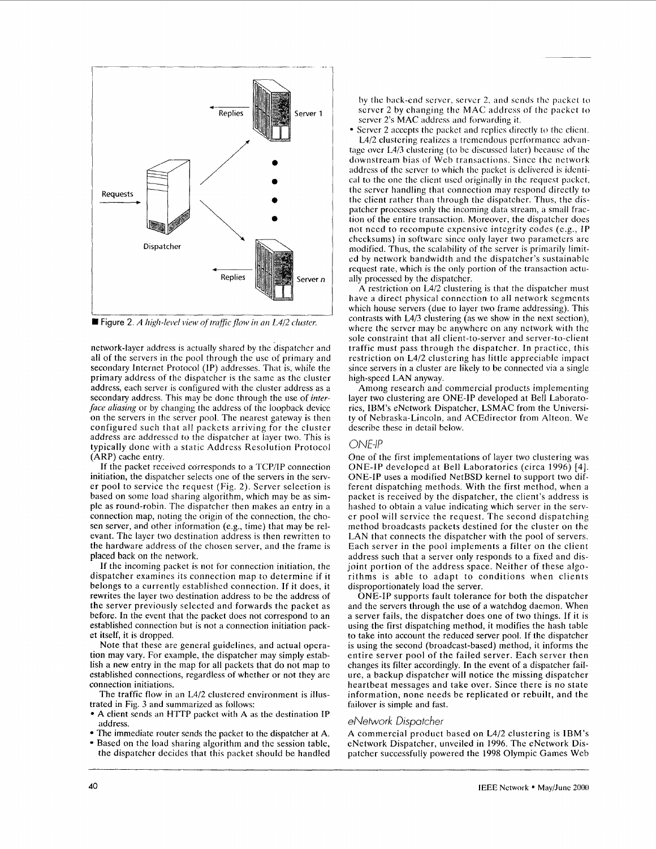

■ **Figure** 2. *A high-level view of traffic flow in an L4/2 cluster.* 

network-layer address is actually sharcd by the dispatcher and all of the servers in the pool through the use of primary and secondary Internet Protocol (IP) addresses. That is, while the primary address of the dispatcher is the same as the clustcr address, each server is configurcd with the cluster address as a secondary address. This may be done through the use of *interface aliasing* or by changing the address of the loopback device on the servers in the server pool. The nearest gateway is then configured such that all packcts arriving for the cluster address are addressed to the dispatcher at layer two. This is typically done with a static Address Rcsolution Protocol (ARP) cache entry.

If the packet reccived corresponds to a TCPIIP connection initiation, the dispatcher selects one of the servers in the server pool to service the request (Fig. 2). Server selection is based on some load sharing algorithm, which may be as simple as round-robin. The dispatcher then makes an entry in a connection map, noting the origin of the connection, the chosen server, and other information (e.g., time) that may be relevant. The layer two destination address is then rewritten to the hardware address of the chosen server, and the frame is placed back on the network.

If the incoming packct is not for connection initiation, the dispatcher examines its connection map to determine if it belongs to a currently established connection. If it does, it rewrites the layer two destination address to be the address of the server previously selccted and forwards thc packet as before. In the event that the packet does not correspond to an established connection but is not a connection initiation packet itself, it is dropped.

Note that these are general guidelines, and actual opcration may vary. For example, the dispatcher may simply establish a new entry in the map for all packets that do not map to established connections, regardless of whether or not they arc connection initiations.

The traffic flow in an L4/2 clustered cnvironment is illustrated in Fig. 3 and summarized as follows:

- A client sends an HTTP packct with A as the destination IP address.
- The immediate router sends the packet to the dispatcher at A.
- Based on the load sharing algorithm and the session table, the dispatchcr dccidcs that this packet should be handled

hy thc hack-cnd scrvcr, scrvcr 2, and scnds thc packct to server 2 by changing the MAC address of the packet to server 2's MAC address and forwarding it.

Server 2 accepts the packet and replies directly to the client. L4/2 clustering realizes a tremendous performance advan-

tagc ovcr L4/3 clustcring (to bc discusscd latcr) bccausc of thc downstream bias **of** Wcb transactions. Sincc thc nctwork address of the server to which the packet is delivered is identi*cal* to thc one thc clicnt uscd originally in thc rcqucst packct. thc scrvcr handling that connection may respond directly to thc client rather than through the dispatcher. Thus, the dispatcher processes only the incoming data stream, a small fraction of the entire transaction. Moreover, the dispatcher does not nced to rccompute expensive intcgrity codes (e.g., IP chccksums) in software since only layer two parametcrs are modified. Thus, the scalability of the server is primarily limited by network bandwidth and the dispatcher's sustainablc request rate, which is the only portion of the transaction actually processed by thc dispatchcr.

A restriction on L4/2 clustering is that the dispatcher must have a direct physical connection to all network segments which house servers (due to layer two frame addressing). This contrasts with **L4/3** clustering (as we show in the next section), where the server may be anywhere on any network with the sole constraint that all client-to-server and server-to-client traffic must pass through the dispatcher. In practicc, this restriction on L4/2 clustering has little appreciable impact since servers in a cluster are likely to be connected via a single high-speed LAN anyway.

Among research and commercial products implcmenting layer two clustering are ONE-IP developed at Bell Laboratories, IBM's eNetwork Dispatcher, LSMAC from the University of Nebraska-Lincoln, and ACEdirector from Alteon. We describe these in detail below.

# *ONE-IP*

One of the first implementations of layer two clustering was ONE-IP developed at Bell Laboratories (circa 1996) [4]. ONE-IP uses a modified NetBSD kernel to support two different dispatching methods. With the first method, when a packet is received by the dispatcher, the client's address is hashed to obtain a value indicating which server in the server pool will scrvicc the request. Thc second dispatching method broadcasts packets destined for the cluster on the LAN that connects the dispatcher with the pool of servers. Each server in the pool implements a filter on the clicnt address such that a server only responds to a fixed and disjoint portion of the address space. Neither of these algorithms is able to adapt to conditions when clients disproportionately load the server.

ONE-IP supports fault tolerance for both the dispatcher and the servers through the use of a watchdog daemon. When a server fails, the dispatcher does one of two things. If it is using the first dispatching method, it modifies the hash table **to** take into account the reduced server pool. If the dispatcher is using the second (broadcast-based) method, it informs the entire server pool of the failed server. Each server then changes its filter accordingly. In the event of a dispatcher failure, a backup dispatcher will notice the missing dispatcher heartbeat messages and take over. Since there is no state information, none needs be replicated or rebuilt, and the failover is simple and fast.

### *eNetwork Dispatcher*

A commercial product based on L4/2 clustering is IBM's eNetwork Dispatcher, unveiled in 1996. The cNetwork Dispatcher successfully powered the 1998 Olympic Games Web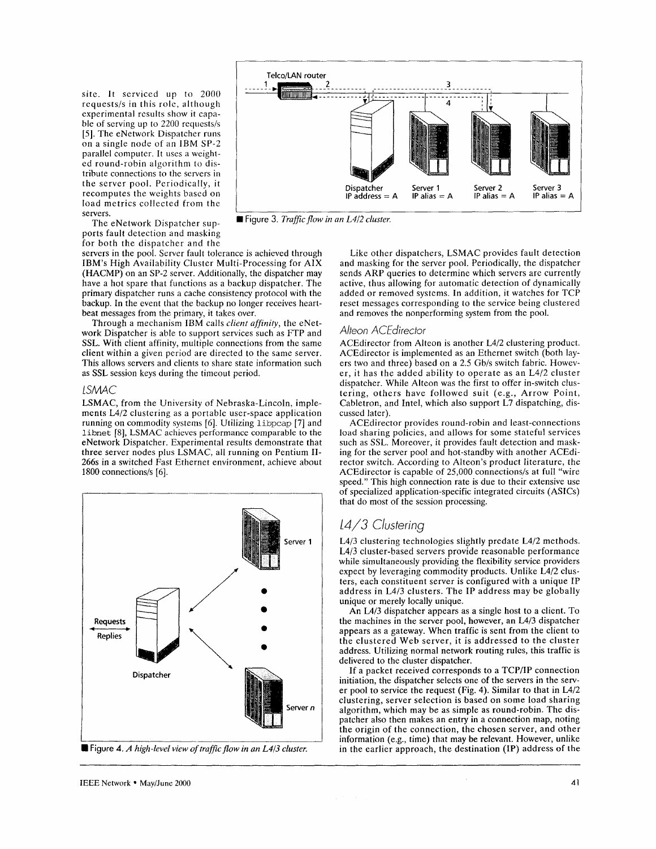site. It serviced up to 2000 requests/s in this rolc, although experimental results show it capable of serving up to 2200 requests/s [5]. The eNetwork Dispatcher runs on a single node of an IBM SP-2 parallel computer. It uscs a weighted round-robin algorithm to distribute connections to the servers in the server pool. Periodically, it recomputes the weights based on load metrics collected from the

servers.<br>The eNetwork Dispatcher supports fault detection and masking for both the dispatcher and the

servers in the pool. Server fault tolerance is achicved through IBM's High Availability Cluster Multi-Processing for AIX (HACMP) on an SP-2 server. Additionally, the dispatcher may have a hot spare that functions as a backup dispatcher. The primary dispatcher runs a cache consistency protocol with the backup. In the event that the backup no longer receives heartbeat messages from the primary, it takes over.

Through a mechanism IBM calls *client affinity,* the eNetwork Dispatcher is able to support services such as FTP and **SSL.** With client affinity, multiple connections from the same client within a given period are directed to the same server. This allows servers and clients to share state information such as SSL session keys during the timeout period.

#### *LSMAC*

LSMAC, from the University of Nebraska-Lincoln, implements L4/2 clustering as a portable user-space application running on commodity systems [6]. Utilizing **libpcap** [7] and **libnet** [SI, LSMAC achieves performance comparable to the eNetwork Dispatcher. Experimental results demonstrate that three server nodes plus LSMAC, all running on Pentium **II-**266s in a switched Fast Ethernet environment, achieve about 1800 connections/s  $[6]$ .



**Figure 4.** *A high-level view of truficflow in an L4/3 cluster.* 



■ Figure 3. Traffic flow in an L4/2 cluster.

Like other dispatchers, LSMAC provides fault detection and masking for the server pool. Periodically, the dispatcher sends ARP queries to determine which servers are currently active, thus allowing for automatic detection of dynamically added or removed systems. In addition, it watches for TCP reset messages corresponding to the service being clustered and removes the nonperforming system from the pool.

### *Alteon ACEdirector*

ACEdirector from Alteon is another L4/2 clustering product. ACEdirector is implemented as an Ethernet switch (both layers two and three) based on a 2.5 Gb/s switch fabric. However, it has the added ability to operate as an L4/2 cluster dispatcher. While Alteon was the first to offer in-switch clustering, others have followed suit (e.g., Arrow Point, Cabletron, and Intel, which also support L7 dispatching, discussed later).

ACEdirector provides round-robin and least-connections load sharing policies, and allows for some statcful services such as SSL. Moreover, it provides fault detection and masking for the server pool and hot-standby with another ACEdirector switch. According to Alteon's product literature, the ACEdirector is capable of 25,000 connections/s at full "wire speed." This high connection rate is due to their extensive use of specialized application-specific integrated circuits (ASICs) that do most of the session processing.

# 14/3 Clustering

L4/3 clustering technologies slightly predate L4/2 methods. **L4/3** cluster-based servers provide reasonable performance while simultaneously providing the flexibility service providers expect by leveraging commodity products. Unlike L4/2 clusters, each constituent server is configured with a unique IP address in L4/3 clusters. The IP address may be globally unique or merely locally unique.

An L4/3 dispatcher appears as a single host to a client. To the machines in the server pool, however, an L4/3 dispatcher appears **as** a gateway. When traffic is sent from the client to the clustered Web server, it is addressed to the cluster address. Utilizing normal network routing rules, this traffic is delivered to the cluster dispatcher.

If a packet received corresponds to a TCP/IP connection initiation, the dispatcher selects one of the servers in the server pool to service the request (Fig. 4). Similar to that in L4/2 clustering, server selection **is** based on some load sharing algorithm, which may be as simple as round-robin. The dispatcher also then makes an entry in a connection map, noting the origin of the connection, the chosen server, and other information (e.g., time) that may be relevant. However, unlike in the earlier approach, the destination **(IP)** address of the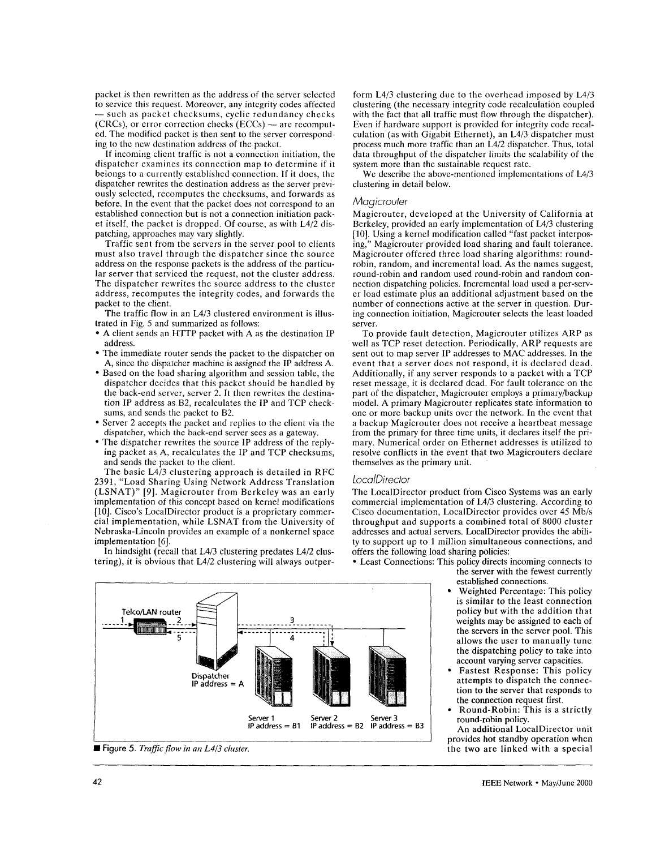packet is then rewritten as the address of the server selected to service this requcst. Morcovcr, any intcgrity codes affccted packet is then rewritten as the address of the server selected<br>to service this request. Moreover, any integrity codes affected<br>— such as packet checksums, cyclic redundancy checks - such as packet checksums, cyclic redundancy checks (CRCs), or error correction checks (ECCs) -- are recomputed. The modified packet is then sent to the server corresponding to the new destination address of the packet.

If incoming clicnt traffic is not a conncction initiation, the dispatcher cxamincs its conncction map to determine if it belongs to a currcntly establishcd connection. If it does, the dispatcher rewrites the destination address as the server previously selected, recomputes the checksums, and forwards as before. In the event that the packet does not correspond to an established connection but is not a connection initiation packet itself, the packet is dropped. Of course, as with  $L\frac{4}{2}$  dispatching, approaches may vary slightly.

Traffic sent from the servers in the server pool to clients must also travel through the dispatcher since the source address on the response packets is the address of the particular server that serviced the request, not the cluster address. The dispatcher rewrites the source address to the cluster address, recomputes the integrity codes, and forwards the packet to the client.

The traffic flow in an L4/3 clustered environment is illustrated in Fig. *5* and summarized as follows:

- A client sends an HTTP packet with A as the destination IP address.
- The immediate router sends the packet to the dispatcher on A, since the dispatcher machine is assigned the IP address A.
- Based on the load sharing algorithm and session table, the dispatcher decides that this packet should be handled by the back-end server, server 2. It then rewrites the destination IP address as B2, recalculates the IP and TCP checksums, and sends the packet to B2.
- Server 2 accepts the packet and replies to the client via the dispatcher, which the back-end server sees as a gateway.
- The dispatcher rewrites the source IP address of the replying packet as A, recalculates the IP and TCP checksums, and sends the packet to the client.

The basic L4/3 clustering approach is detailed in RFC 2391, "Load Sharing Using Network Address Translation (LSNAT)" **[9].** Magicrouter from Berkeley was an early implementation of this concept based on kernel modifications [lo]. Cisco's LocalDirector product is a proprietary commercial implementation, while LSNAT from the University of Nebraska-Lincoln provides an example of a nonkernel space implementation [6].

In hindsight (recall that LA/3 clustering predates L4/2 clustering), it is obvious that L4/2 clustering will always outperform L4/3 clustering due to thc ovcrhead imposed by L4/3 clustering (the nccessary integrity code recalculation couplcd with the fact that all traffic must flow through the dispatcher). Even if hardwarc support is provided for integrity code rccalculation (as with Gigabit Ethcrnet), an L4/3 dispatcher must process much more traffic than an L4/2 dispatcher. Thus, total data throughput of the dispatcher limits thc scalability of thc system morc than thc sustainable request rate.

We describe the above-mentioned implementations of L4/3 clustering in detail below.

#### *Magicrouter*

Magicrouter, developed at the University of California at Berkeley, provided an early implementation of LA/3 clustering [10]. Using a kernel modification called "fast packet interposing,'' Magicrouter provided load sharing and fault tolerance. Magicrouter offered three load sharing algorithms: roundrobin, random, and incremental load. As the names suggest, round-robin and random used round-robin and random connection dispatching policies. Incremental load used a per-server load estimate plus an additional adjustment based on the number of connections active at the server in question. During connection initiation, Magicrouter selects the least loaded server.

To provide fault detection, Magicrouter utilizes ARP as well as TCP reset detection. Periodically, ARP requests are sent out to map server IP addresses to MAC addresses. In the event that a server does not respond, it is declared dead. Additionally, if any server responds to a packet with a TCP reset message, it is declared dead. For fault tolerance on the part of the dispatcher, Magicrouter employs a primary/backup model. A primary Magicrouter replicates state information to one or more backup units over the network. In the event that a backup Magicrouter does not receive a heartbeat message from the primary for three time units, it declares itself the primary. Numerical order on Ethernet addresses is utilized to resolve conflicts in the event that two Magicrouters declare themselves as the primary unit.

#### *LocalDirector*

The LocalDirector product from Cisco Systems was an early commercial implementation of L4/3 clustering. According to Cisco documentation, LocalDirector provides over 45 Mb/s throughput and supports a combined total of 8000 cluster addresses and actual servers, LocalDirector provides the ability to support up to 1 million simultaneous connections, and offers the following load sharing policies:

established connections. Least Connections: This policy directs incoming connects to the server with the fewest currently

- Weighted Percentage: This policy is similar to the least connection policy but with the addition that weights may be assigned to each of the servers in the server pool. This allows the user to manually tune the dispatching policy to take into account varying server capacities.
- Fastest Response: This policy attempts to dispatch the connection to the server that responds to the connection request first.
- Round-Robin: This is a strictly round-robin policy.

An additional LocalDirector unit provides hot standby operation when the two are linked with a special

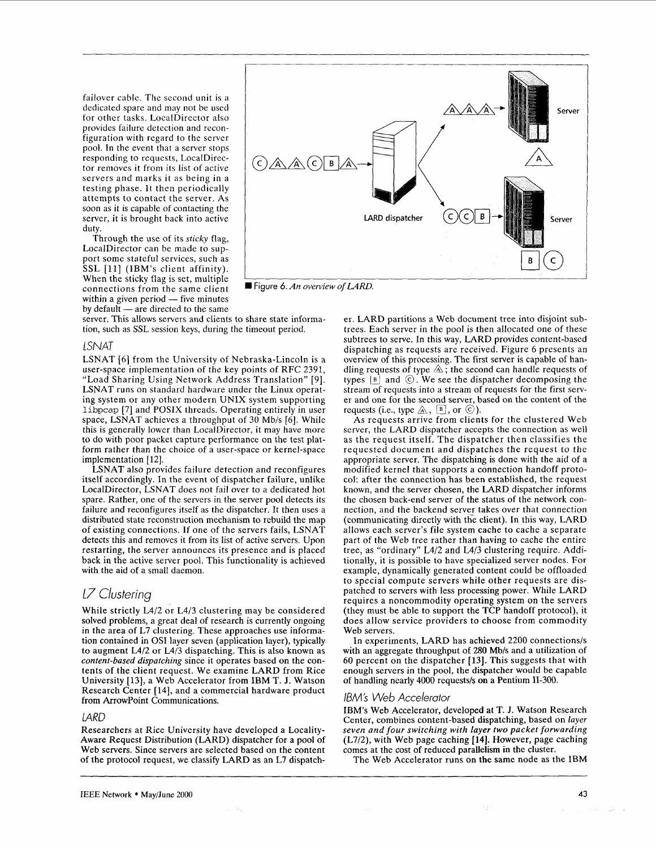failover cable. The second unit is a dedicated spare and may not be used for other tasks. LocalDirector also provides failure detection and reconfiguration with regard to the server pool. In the event that a server stops responding to requests, LocalDirector removes it from its list of active servers and marks it as being in a testing phase. It then periodically attempts to contact the server. As soon as it is capable of contacting the server, it is brought back into active duty.

Through the use of its *sticky* flag, LocalDirector can be made to support some stateful services, such as SSL [11] (IBM's client affinity). When the sticky flag is set, multiple When the sticky flag is set, multiple<br>connections from the same client  $\blacksquare$  **Figure 6.** An overview<br>within a given period -- five minutes within a given period  $-$  five minutes<br>by default  $-$  are directed to the same

server. This allows servers and clients to share state information, such as SSL session keys, during the timeout period.

#### lSNAT

LSNAT [6] from the University of Nebraska-Lincoln is a user-space implementation of the key points of RFC 2391, "Load Sharing Using Network Address Translation" [9]. LSNAT runs on standard hardware under the Linux operating system or any other modern UNIX system supporting **Libpcap (71** and POSIX threads. Operating entirely in user space, LSNAT achieves a throughput of 30 Mb/s [6]. While this is generally lower than LocalDirector, it may have more to do with poor packet capture performance on the test platform rather than the choice of a user-space or kernel-space implementation [12].

LSNAT also provides failure detection and reconfigures itself accordingly. In the event of dispatcher failure, unlike LocalDirector, LSNAT does not fail over to a dedicated hot spare. Rather, one of the servers in the server pool detects its failure and reconfigures itself as the dispatcher. It then uses a distributed state reconstruction mechanism to rebuild the map of existing connections. If one of the servers fails, LSNAT detects this and removes it from its list of active servers. Upon restarting, the server announces its presence and is placed back in the active server pool. This functionality is achieved with the aid of a small daemon.

# *17 Clustering*

While strictly L4/2 or L4/3 clustering may be considered solved problems, a great deal of research is currently ongoing in the area of L7 clustering. These approaches use information contained in OS1 layer seven (application layer), typically to augment  $L4/2$  or  $L4/3$  dispatching. This is also known as *content-based dispatching* since it operates based on the contents of the client request. We examine LARD from Rice University [13], a Web Accelerator from **IBM** T. **J.** Watson Research Center [14], and a commercial hardware product from ArrowPoint Communications.

# *lARD*

Researchers at Rice University have developed a Locality-Aware Request Distribution (LARD) dispatcher for a pool of Web servers. Since servers are selected based on the content of the protocol request, we classify LARD as an L7 dispatch-



er. LARD partitions a Web document tree into disjoint subtrees. Each server in the pool is then allocated one of these subtrees to serve. In this way, LARD provides content-based dispatching as requests are received. Figure 6 presents an overview of this processing. The first server is capable of handling requests of type  $\mathbb A$ ; the second can handle requests of types  $|B|$  and  $\odot$ . We see the dispatcher decomposing the stream of requests into a stream of requests for the first server and one for the second server, based on the content of the requests (i.e., type  $\mathbb{A}, \mathbb{B}$ , or  $\mathbb{C}$ ).

As requests arrive from clients for the clustered Web server, the LARD dispatcher accepts the connection as well as the request itself. The dispatcher then classifies the requested document and dispatches the request to the appropriate server. The dispatching **is** done with the aid of a modified kernel that supports a connection handoff protocol: after the connection has been established, the request known, and the server chosen, the LARD dispatcher informs the chosen back-end server of the status of the network connection, and the backend server takes over that connection (communicating directly with the client). In this way, LARD allows each server's file system cache to cache a separate part of the Web tree rather than having to cache the entire tree, as "ordinary" L4/2 and **L4/3** clustering require. Additionally, it is possible to have specialized server nodes. For example, dynamically generated content could be offloaded to special compute servers while other requests are dispatched to servers with less processing power. While LARD requires a noncommodity operating system on the servers (they must be able to support the TCP handoff protocol), it does allow service providers to choose from commodity Web servers.

In experiments, LARD has achieved 2200 connections/s with an aggregate throughput of **280** Mbls and a utilization of *60* percent on the dispatcher **[13].** This suggests that with enough servers in the pool, the dispatcher would be capable of handling nearly 4000 requestsls **on** a Pentium 11-300.

### *IBMj Web Accelerator*

**IBM's** Web Accelerator, developed at T. **J.** Watson Research Center, combines content-based dispatching, based on *layer seven and four switching with layer two packet forwarding*  (L7/2), with Web page caching **[14].** However, page caching comes at the cost of reduced parallelism in the cluster.

The Web Accelerator runs on the same node **as** the **IBM**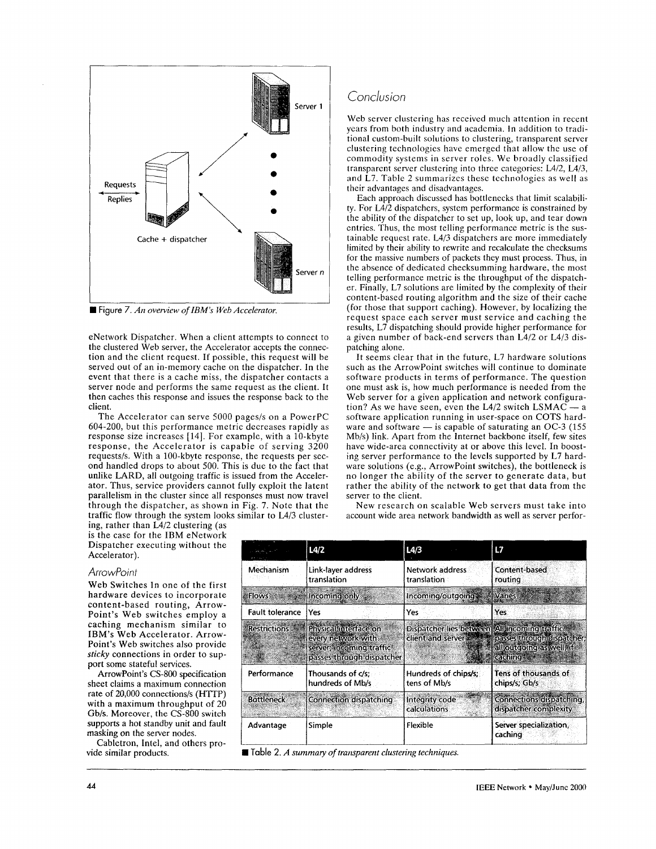

■ Figure *7. An overview of IBM's Web Accelerator.* 

eNetwork Dispatcher. When a client attempts to connect to the clustered Web server, the Accelerator accepts the connection and the client request. If possible, this request will be served out of an in-memory cache on the dispatcher. In the event that there is a cache miss, the dispatcher contacts a server node and performs the same request as the client. It then caches this response and issues the response back to the client.

The Accelerator can serve 5000 pages/s on a PowerPC 604-200, but this performance metric decreases rapidly as response size increases [14]. For example, with a 10-kbyte response, the Accelerator is capable of serving 3200 requests/s. With a 100-kbyte response, the requests per second handled drops to about 500. This is due to the fact that unlike LARD, all outgoing traffic is issued from the Accelerator. Thus, service providers cannot fully exploit the latent parallelism in the cluster since all responses must now travel through the dispatcher, as shown in Fig. 7. Note that the traffic flow through the system **looks** similar to L4/3 cluster-

ing, rather than L4/2 clustering (as ing, rather than L4/2 clustering (as<br>is the case for the IBM eNetwork Dispatcher executing without the Accelerator).

### *ArrowPoint*

Web Switches In one of the first hardware devices to incorporate content-based routing, Arrow-Point's Web switches employ a caching mechanism similar to IBM's Web Accelerator. Arrow-Point's Web switches also provide *sticky* connections in order to support some stateful services.

ArrowPoint's CS-800 specification sheet claims a maximum connection rate of 20,000 connections/s (HITP) with **3** maximum throughput **of** 20 Gb/s. Moreover, the CS-800 switch supports **a** hot standby unit and fault masking on the server nodes.

Cabletron, Intel, and others pro-

# *Conclusion*

Web server clustering has received much attention in recent years from both industry and acadcmia. In addition to traditional custom-built solutions to clustering, transparcnt server clustering technologies have emerged that allow the use of commodity systems in server rolcs. We broadly classified transparent server clustering into three categories: L4/2, L4/3, and L7. Table 2 summarizes these technologies as well as their advantages and disadvantagcs.

Each approach discussed has bottlenccks that limit scalability. For L4/2 dispatchers, system performance is constrained by the ability of the dispatchcr to set up, **look** up, and tear down entries. Thus, the most telling pcrformance metric is the sustainable request rate. L4/3 dispatchers are more immediately limited by their ability to rewrite and rccalculate the checksums for the massive numbers of packets they must process. Thus, in the absence of dedicated checksumming hardware, the most telling performance metric is the throughput of the dispatcher. Finally, L7 solutions are limited by the complexity of their content-based routing algorithm and the size of their cache (for those that support caching). However, by localizing the request space each server must service and caching the results, L7 dispatching should provide higher performance for a given number of back-end servers than L4/2 or L4/3 dispatching alone.

It seems clear that in thc future, L7 hardware solutions such as the ArrowPoint switches will continue to dominate software products in terms of performance. The question one must ask is, how much performance is needed from the Web server for a given application and network configuraone must ask is, how much performance is needed from the<br>Web server for a given application and network configura-<br>tion? As we have seen, even the L4/2 switch LSMAC  $-$  a software application running in user-space on COTS hardtion? As we have seen, even the L4/2 switch LSMAC  $-$  a software application running in user-space on COTS hardware and software  $-$  is capable of saturating an OC-3 (155) Mb/s) link. Apart from the Internet backbone itself, few sites have wide-area connectivity at or above this level. In boosting server performance to the levels supported by L7 hardware solutions (e.g., ArrowPoint switches), the bottleneck is no longer the ability of the server to generate data, but rather the ability of the network to get that data from the server to the client.

New research on scalable Web servers must take into account wide area network bandwidth as well as server perfor-

|                        | L4/2                                                                                                 | 14/3                                                                      | L7                                                                    |
|------------------------|------------------------------------------------------------------------------------------------------|---------------------------------------------------------------------------|-----------------------------------------------------------------------|
| Mechanism              | Link-layer address<br>translation                                                                    | Network address<br>translation                                            | Content-based<br>routing                                              |
|                        | Flows <b>Provident Providence</b> Incoming only                                                      | Incoming/outgoing                                                         | Varies                                                                |
| <b>Fault tolerance</b> | Yes                                                                                                  | Yes                                                                       | Yes                                                                   |
| <b>Restrictions</b>    | Physical interface on<br>every network with<br>server; incoming traffic<br>passes through dispatcher | Dispatcher lies between All incoming traffic<br>client and server and the | passes through dispatcher;<br>all outgoing as well, if<br>caching* ** |
| Performance            | Thousands of c/s:<br>hundreds of Mb/s                                                                | Hundreds of chips/s;<br>tens of Mb/s                                      | Tens of thousands of<br>chips/s; Gb/s                                 |
| <b>Bottleneck</b>      | Connection dispatching                                                                               | Integrity code<br>calculations                                            | <b>Connections dispatching,</b><br>dispatcher complexity              |
| Advantage              | Simple                                                                                               | Flexible                                                                  | Server specialization,<br>caching                                     |